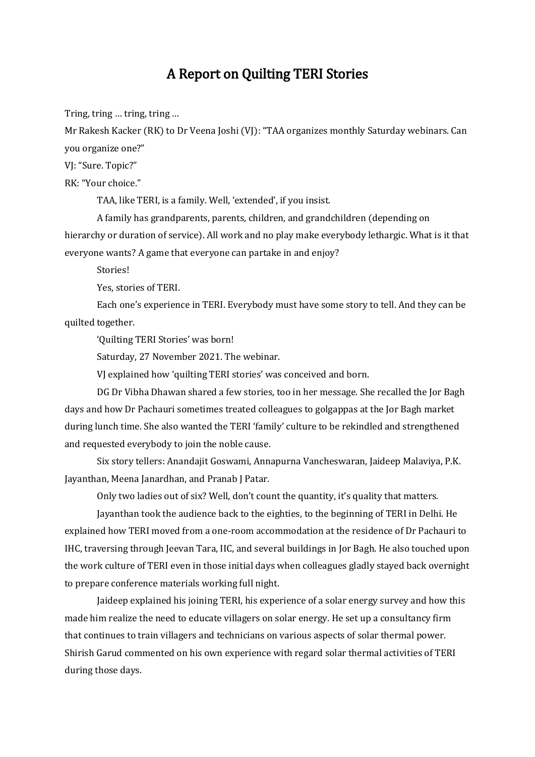## A Report on Quilting TERI Stories

Tring, tring … tring, tring …

Mr Rakesh Kacker (RK) to Dr Veena Joshi (VJ): "TAA organizes monthly Saturday webinars. Can you organize one?"

VJ: "Sure. Topic?"

RK: "Your choice."

TAA, like TERI, is a family. Well, 'extended', if you insist.

A family has grandparents, parents, children, and grandchildren (depending on hierarchy or duration of service). All work and no play make everybody lethargic. What is it that everyone wants? A game that everyone can partake in and enjoy?

Stories!

Yes, stories of TERI.

Each one's experience in TERI. Everybody must have some story to tell. And they can be quilted together.

'Quilting TERI Stories' was born!

Saturday, 27 November 2021. The webinar.

VJ explained how 'quilting TERI stories' was conceived and born.

DG Dr Vibha Dhawan shared a few stories, too in her message. She recalled the Jor Bagh days and how Dr Pachauri sometimes treated colleagues to golgappas at the Jor Bagh market during lunch time. She also wanted the TERI 'family' culture to be rekindled and strengthened and requested everybody to join the noble cause.

Six story tellers: Anandajit Goswami, Annapurna Vancheswaran, Jaideep Malaviya, P.K. Jayanthan, Meena Janardhan, and Pranab J Patar.

Only two ladies out of six? Well, don't count the quantity, it's quality that matters.

Jayanthan took the audience back to the eighties, to the beginning of TERI in Delhi. He explained how TERI moved from a one-room accommodation at the residence of Dr Pachauri to IHC, traversing through Jeevan Tara, IIC, and several buildings in Jor Bagh. He also touched upon the work culture of TERI even in those initial days when colleagues gladly stayed back overnight to prepare conference materials working full night.

Jaideep explained his joining TERI, his experience of a solar energy survey and how this made him realize the need to educate villagers on solar energy. He set up a consultancy firm that continues to train villagers and technicians on various aspects of solar thermal power. Shirish Garud commented on his own experience with regard solar thermal activities of TERI during those days.